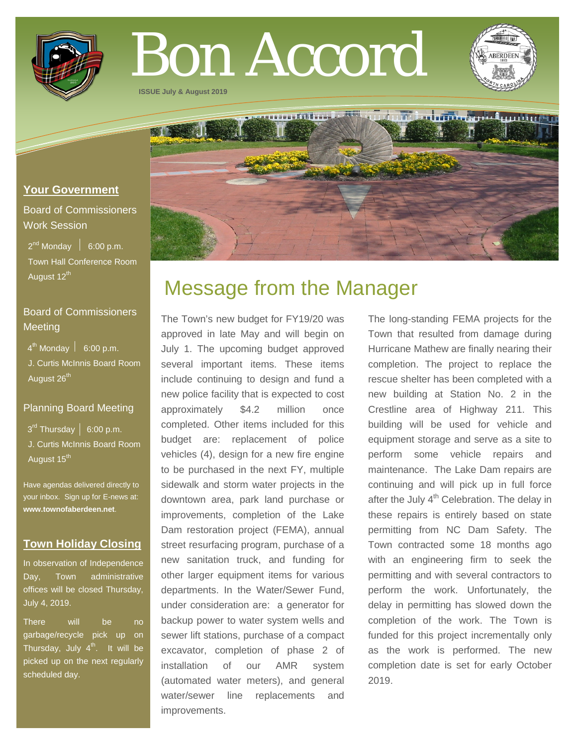

# Bon Accord

**ISSUE July & August 2019**



Board of Commissioners Work Session

 $2^{nd}$  Monday  $\left| 6:00 \text{ p.m.} \right|$  Town Hall Conference Room August 12<sup>th</sup>

# Board of Commissioners **Meeting**

 $4^{\text{th}}$  Monday  $\vert$  6:00 p.m.

 J. Curtis McInnis Board Room August 26<sup>th</sup>

# Planning Board Meeting

 $3<sup>rd</sup>$  Thursday  $\vert 6:00$  p.m. J. Curtis McInnis Board Room August 15<sup>th</sup>

Have agendas delivered directly to your inbox. Sign up for E-news at: **[www.townofaberdeen.net](http://www.townofaberdeen.net/)**.

# **Town Holiday Closing**

In observation of Independence Day, Town administrative offices will be closed Thursday, July 4, 2019.

There will be no garbage/recycle pick up on Thursday, July  $4<sup>th</sup>$ . It will be picked up on the next regularly scheduled day.

# Message from the Manager

The Town's new budget for FY19/20 was approved in late May and will begin on July 1. The upcoming budget approved several important items. These items include continuing to design and fund a new police facility that is expected to cost approximately \$4.2 million once completed. Other items included for this budget are: replacement of police vehicles (4), design for a new fire engine to be purchased in the next FY, multiple sidewalk and storm water projects in the downtown area, park land purchase or improvements, completion of the Lake Dam restoration project (FEMA), annual street resurfacing program, purchase of a new sanitation truck, and funding for other larger equipment items for various departments. In the Water/Sewer Fund, under consideration are: a generator for backup power to water system wells and sewer lift stations, purchase of a compact excavator, completion of phase 2 of installation of our AMR system (automated water meters), and general water/sewer line replacements and improvements.

The long-standing FEMA projects for the Town that resulted from damage during Hurricane Mathew are finally nearing their completion. The project to replace the rescue shelter has been completed with a new building at Station No. 2 in the Crestline area of Highway 211. This building will be used for vehicle and equipment storage and serve as a site to perform some vehicle repairs and maintenance. The Lake Dam repairs are continuing and will pick up in full force after the July  $4<sup>th</sup>$  Celebration. The delay in these repairs is entirely based on state permitting from NC Dam Safety. The Town contracted some 18 months ago with an engineering firm to seek the permitting and with several contractors to perform the work. Unfortunately, the delay in permitting has slowed down the completion of the work. The Town is funded for this project incrementally only as the work is performed. The new completion date is set for early October 2019.

<u>ndungterbritischer Leinburg</u>

T